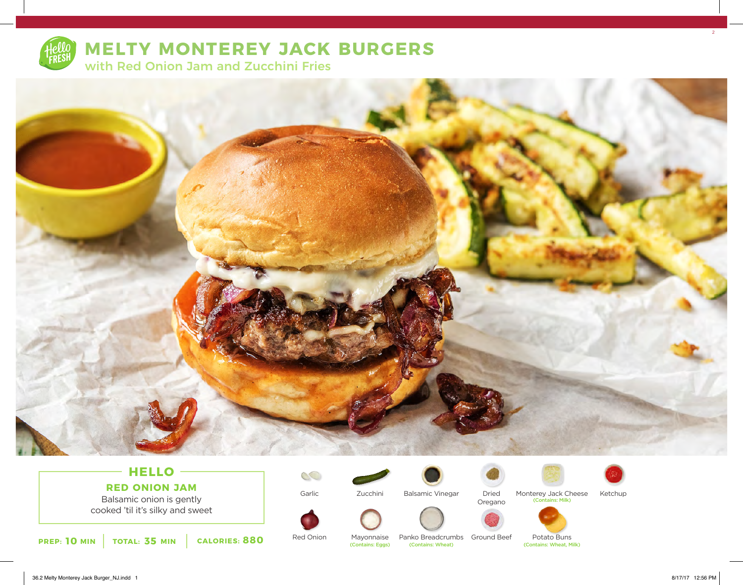

# **MELTY MONTEREY JACK BURGERS**

with Red Onion Jam and Zucchini Fries



# **HELLO RED ONION JAM**

Balsamic onion is gently cooked 'til it's silky and sweet

**10 ININ 10TAL: 35 MIN CALORIES: 880 Red Union** Mayonnaise Panko Breadcrumbs Ground Beet Potato Buns (Contains: Wheat, Milk) **PREP: 10 MIN CALORIES: 880 Contains: Wheat, MIN** 

Garlic

 $\mathcal{C}$ 

Red Onion

Zucchini

Mayonnaise<br>(Contains: Eggs)



Balsamic Vinegar

Panko Breadcrumbs Ground Beef





Monterey Jack Cheese Ketchup (Contains: Milk)



Potato Buns<br>(Contains: Wheat, Milk)

36.2 Melty Monterey Jack Burger\_NJ.indd 1 8/17/17 12:56 PM

2